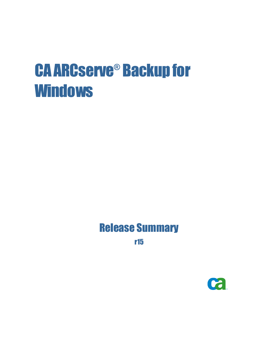# CA ARCserve® Backup for **Windows**

# Release Summary

r15

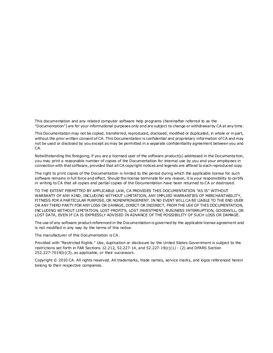This documentation and any related computer software help programs (hereinafter referred to as the "Documentation") are for your informational purposes only and are subject to change or withdrawal by CA at any time.

This Documentation may not be copied, transferred, reproduced, disclosed, modified or duplicated, in whole or in part, without the prior written consent of CA. This Documentation is confidential and proprietary information of CA and may not be used or disclosed by you except as may be permitted in a separate confidentiality agreement between you and CA.

Notwithstanding the foregoing, if you are a licensed user of the software product(s) addressed in the Documenta tion, you may print a reasonable number of copies of the Documentation for internal use by you and your employees in connection with that software, provided that all CA copyright notices and legends are affixed to each reproduced copy.

The right to print copies of the Documentation is limited to the period during which the applicable license for such software remains in full force and effect. Should the license terminate for any reason, it is your responsibility to certify in writing to CA that all copies and partial copies of the Documentation have been returned to CA or destroyed.

TO THE EXTENT PERMITTED BY APPLICABLE LAW, CA PROVIDES THIS DOCUMENTATION "AS IS" WITHOUT WARRANTY OF ANY KIND, INCLUDING WITHOUT LIMITATION, ANY IMPLIED WARRANTIES OF MERCHANTABILITY, FITNESS FOR A PARTICULAR PURPOSE, OR NONINFRINGEMENT. IN NO EVENT WILL CA BE LIABLE TO THE END USER OR ANY THIRD PARTY FOR ANY LOSS OR DAMAGE, DIRECT OR INDIRECT, FROM THE USE OF THIS DOCUMENTATION, INC LUDING WITHOUT LIMITATION, LOST PROFITS, LOST INVESTMENT, BUSINESS INTERRUPTION, GOODWILL, OR LOST DATA, EVEN IF CA IS EXPRESSLY ADVISED IN ADVANCE OF THE POSSIBILITY OF SUCH LOSS OR DAMAGE.

The use of any software product referenced in the Documentation is governed by the applicable license agreement and is not modified in any way by the terms of this notice.

The manufacturer of this Documentation is CA.

Provided with "Restricted Rights." Use, duplication or disclosure by the United States Government is subject to the restrictions set forth in FAR Sections 12.212, 52.227-14, and 52.227-19(c)(1) - (2) and DFARS Section 252.227-7014(b)(3), as applicable, or their successors.

Copyright © 2010 CA. All rights reserved. All trademarks, trade names, service marks, and logos referenced herein belong to their respective companies.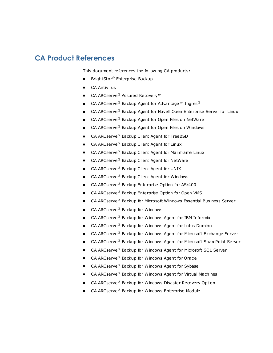### **CA Product References**

This document references the following CA products:

- BrightStor® Enterprise Backup
- CA Antivirus
- CA ARCserve® Assured Recovery™
- CA ARCserve<sup>®</sup> Backup Agent for Advantage™ Ingres<sup>®</sup>
- CA ARCserve® Backup Agent for Novell Open Enterprise Server for Linux
- CA ARCserve® Backup Agent for Open Files on NetWare
- CA ARCserve<sup>®</sup> Backup Agent for Open Files on Windows
- CA ARCserve<sup>®</sup> Backup Client Agent for FreeBSD
- CA ARCserve® Backup Client Agent for Linux
- CA ARCserve<sup>®</sup> Backup Client Agent for Mainframe Linux
- CA ARCserve® Backup Client Agent for NetWare
- CA ARCserve® Backup Client Agent for UNIX
- CA ARCserve® Backup Client Agent for Windows
- CA ARCserve<sup>®</sup> Backup Enterprise Option for AS/400
- CA ARCserve® Backup Enterprise Option for Open VMS
- CA ARCserve® Backup for Microsoft Windows Essential Business Server
- CA ARCserve<sup>®</sup> Backup for Windows
- CA ARCserve® Backup for Windows Agent for IBM Informix
- CA ARCserve® Backup for Windows Agent for Lotus Domino
- CA ARCserve® Backup for Windows Agent for Microsoft Exchange Server
- CA ARCserve<sup>®</sup> Backup for Windows Agent for Microsoft SharePoint Server
- CA ARCserve® Backup for Windows Agent for Microsoft SQL Server
- CA ARCserve<sup>®</sup> Backup for Windows Agent for Oracle
- CA ARCserve<sup>®</sup> Backup for Windows Agent for Sybase
- CA ARCserve<sup>®</sup> Backup for Windows Agent for Virtual Machines
- CA ARCserve<sup>®</sup> Backup for Windows Disaster Recovery Option
- CA ARCserve<sup>®</sup> Backup for Windows Enterprise Module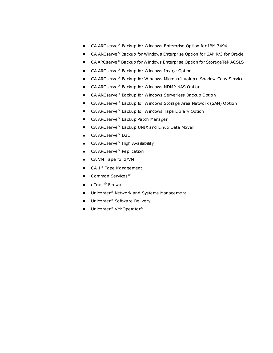- CA ARCserve<sup>®</sup> Backup for Windows Enterprise Option for IBM 3494
- CA ARCserve® Backup for Windows Enterprise Option for SAP R/3 for Oracle
- CA ARCserve® Backup for Windows Enterprise Option for StorageTek ACSLS
- CA ARCserve<sup>®</sup> Backup for Windows Image Option
- CA ARCserve® Backup for Windows Microsoft Volume Shadow Copy Service
- CA ARCserve<sup>®</sup> Backup for Windows NDMP NAS Option
- CA ARCserve<sup>®</sup> Backup for Windows Serverless Backup Option
- CA ARCserve<sup>®</sup> Backup for Windows Storage Area Network (SAN) Option
- CA ARCserve<sup>®</sup> Backup for Windows Tape Library Option
- CA ARCserve<sup>®</sup> Backup Patch Manager
- CA ARCserve<sup>®</sup> Backup UNIX and Linux Data Mover
- CA ARCserve<sup>®</sup> D2D
- CA ARCserve<sup>®</sup> High Availability
- CA ARCserve<sup>®</sup> Replication
- CA VM:Tape for z/VM
- $\blacksquare$  CA 1<sup>®</sup> Tape Management
- Common Services™
- eTrust<sup>®</sup> Firewall
- Unicenter<sup>®</sup> Network and Systems Management
- Unicenter<sup>®</sup> Software Delivery
- Unicenter<sup>®</sup> VM:Operator<sup>®</sup>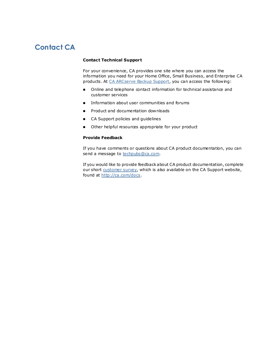### **Contact CA**

#### **Contact Technical Support**

For your convenience, CA provides one site where you can access the information you need for your Home Office, Small Business, and Enterprise CA products. At [CA ARCserve Backup Support,](https://support.ca.com/prodinfo/arcservebackup) you can access the following:

- Online and telephone contact information for technical assistance and customer services
- Information about user communities and forums
- Product and documentation downloads
- CA Support policies and quidelines
- Other helpful resources appropriate for your product

#### **Provide Feedback**

If you have comments or questions about CA product documentation, you can send a message to [techpubs@ca.com.](mailto:techpubs@ca.com)

If you would like to provide feedback about CA product documentation, complete our short [customer survey,](http://www.ca.com/docs) which is also available on the CA Support website, found at [http://ca.com/docs.](http://www.ca.com/docs)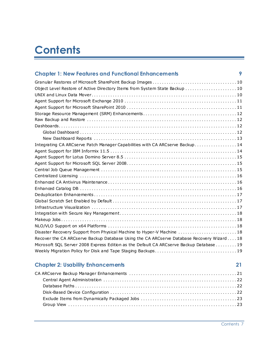## **Contents**

| <b>Chapter 1: New Features and Functional Enhancements</b>                                | 9 |
|-------------------------------------------------------------------------------------------|---|
|                                                                                           |   |
| Object Level Restore of Active Directory Items from System State Backup  10               |   |
|                                                                                           |   |
|                                                                                           |   |
|                                                                                           |   |
|                                                                                           |   |
|                                                                                           |   |
|                                                                                           |   |
|                                                                                           |   |
|                                                                                           |   |
| Integrating CA ARCserve Patch Manager Capabilities with CA ARCserve Backup14              |   |
|                                                                                           |   |
|                                                                                           |   |
|                                                                                           |   |
|                                                                                           |   |
|                                                                                           |   |
|                                                                                           |   |
|                                                                                           |   |
|                                                                                           |   |
|                                                                                           |   |
|                                                                                           |   |
|                                                                                           |   |
|                                                                                           |   |
|                                                                                           |   |
| Disaster Recovery Support from Physical Machine to Hyper-V Machine 18                     |   |
| Recover the CA ARCserve Backup Database Using the CA ARCserve Database Recovery Wizard 18 |   |
| Microsoft SQL Server 2008 Express Edition as the Default CA ARCserve Backup Database 19   |   |
|                                                                                           |   |

### **Chapter 2: Usability Enhancements 21**

Ξ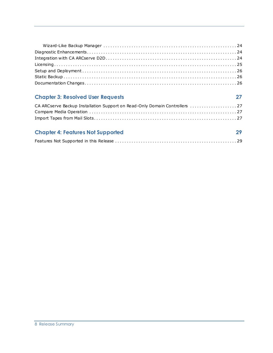| <b>Chapter 3: Resolved User Requests</b>                                    | 27 |
|-----------------------------------------------------------------------------|----|
| CA ARCserve Backup Installation Support on Read-Only Domain Controllers  27 |    |
|                                                                             |    |
|                                                                             |    |

### **Chapter 4: Features Not Supported 29**

|--|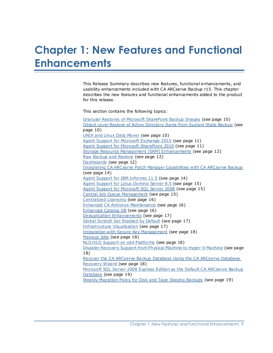## **Chapter 1: New Features and Functional Enhancements**

This Release Summary describes new features, functional enhancements, and usability enhancements included with CA ARCserve Backup r15. This chapter describes the new features and functional enhancements added to the product for this release.

This section contains the following topics:

[Granular Restores of Microsoft SharePoint Backup Images](#page-9-0) (see pag[e 10\)](#page-9-0) [Object Level Restore of Active Directory Items from System State Backup](#page-9-1) (see page [10\)](#page-9-1) [UNIX and Linux Data Mover](#page-9-2) (see pag[e 10\)](#page-9-2) [Agent Support for Microsoft Exchange 2010](#page-10-0) (see page [11\)](#page-10-0) [Agent Support for Microsoft SharePoint 2010](#page-10-1) (see page [11\)](#page-10-1) [Storage Resource Management \(SRM\) Enhancements](#page-11-0) (see page [12\)](#page-11-0) [Raw Backup and Restore](#page-11-1) (see page [12\)](#page-11-1) [Dashboards](#page-11-2) (see page [12\)](#page-11-2) [Integrating CA ARCserve Patch Manager Capabilities with CA ARCserve Backup](#page-13-0) (see page [14\)](#page-13-0) [Agent Support for IBM Informix 11.5](#page-13-1) (see page [14\)](#page-13-1) [Agent Support for Lotus Domino Server 8.5](#page-14-0) (see page [15\)](#page-14-0) [Agent Support for Microsoft SQL Server 2008](#page-14-1) (see pag[e 15\)](#page-14-1) [Central Job Queue Management](#page-14-2) (see page [15\)](#page-14-2) [Centralized Licensing](#page-15-0) (see page [16\)](#page-15-0) [Enhanced CA Antivirus Maintenance](#page-15-1) (see pag[e 16\)](#page-15-1) [Enhanced Catalog DB](#page-15-2) (see page [16\)](#page-15-2) [Deduplication Enhancements](#page-16-0) (see page [17\)](#page-16-0) [Global Scratch Set Enabled by Default](#page-16-1) (see pag[e 17\)](#page-16-1) [Infrastructure Visualization](#page-16-2) (see page [17\)](#page-16-2) [Integration with Secure Key Management](#page-17-0) (see page [18\)](#page-17-0) [Makeup Jobs](#page-17-1) (see page [18\)](#page-17-1) [NLO/VLO Support on x64 Platforms](#page-17-2) (see pag[e 18\)](#page-17-2) [Disaster Recovery Support from Physical Machine to Hyper-V Machine](#page-17-3) (see page [18\)](#page-17-3) Recover the CA ARCserve Backup [Database Using the CA ARCserve Database](#page-17-4)  [Recovery Wizard](#page-17-4) (see pag[e 18\)](#page-17-4) [Microsoft SQL Server 2008 Express Edition as the Default CA ARCserve Backup](#page-18-0)  [Database](#page-18-0) (see page [19\)](#page-18-0) [Weekly Migration Policy for Disk and Tape Staging Backups](#page-18-1) (see pag[e 19\)](#page-18-1)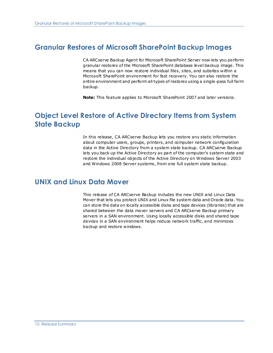### <span id="page-9-0"></span>**Granular Restores of Microsoft SharePoint Backup Images**

CA ARCserve Backup Agent for Microsoft SharePoint Server now lets you perform granular restores of the Microsoft SharePoint database level backup image. This means that you can now restore individual files, sites, and subsites within a Microsoft SharePoint environment for fast recovery. You can also restore the entire environment and perform all types of restores using a single-pass full farm backup.

**Note:** This feature applies to Microsoft SharePoint 2007 and later versions.

### <span id="page-9-1"></span>**Object Level Restore of Active Directory Items from System State Backup**

In this release, CA ARCserve Backup lets you restore any static information about computer users, groups, printers, and computer network configuration data in the Active Directory from a system state backup. CA ARCserve Backup lets you back up the Active Directory as part of the computer's system state and restore the individual objects of the Active Directory on Windows Server 2003 and Windows 2008 Server systems, from one full system state backup.

#### <span id="page-9-2"></span>**UNIX and Linux Data Mover**

This release of CA ARCserve Backup includes the new UNIX and Linux Data Mover that lets you protect UNIX and Linux file system data and Oracle data. You can store the data on locally accessible disks and tape devices (libraries) that are shared between the data mover servers and CA ARCserve Backup primary servers in a SAN environment. Using locally accessible disks and shared tape devices in a SAN environment helps reduce network traffic, and minimizes backup and restore windows.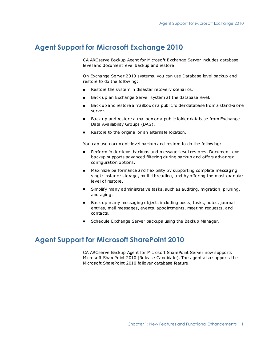### <span id="page-10-0"></span>**Agent Support for Microsoft Exchange 2010**

CA ARCserve Backup Agent for Microsoft Exchange Server includes database level and document level backup and restore.

On Exchange Server 2010 systems, you can use Database level backup and restore to do the following:

- Restore the system in disaster recovery scenarios.
- Back up an Exchange Server system at the database level.
- Back up and restore a mailbox or a public folder database from a stand-alone server.
- Back up and restore a mailbox or a public folder database from Exchange Data Availability Groups (DAG).
- Restore to the original or an alternate location.

You can use document-level backup and restore to do the following:

- Perform folder-level backups and message-level restores. Document level backup supports advanced filtering during backup and offers advanced configuration options.
- Maximize performance and flexibility by supporting complete messaging single instance storage, multi-threading, and by offering the most granular level of restore.
- Simplify many administrative tasks, such as auditing, migration, pruning, and aging.
- Back up many messaging objects including posts, tasks, notes, journal entries, mail messages, events, appointments, meeting requests, and contacts.
- Schedule Exchange Server backups using the Backup Manager.

### <span id="page-10-1"></span>**Agent Support for Microsoft SharePoint 2010**

CA ARCserve Backup Agent for Microsoft SharePoint Server now supports Microsoft SharePoint 2010 (Release Candidate). The agent also supports the Microsoft SharePoint 2010 failover database feature.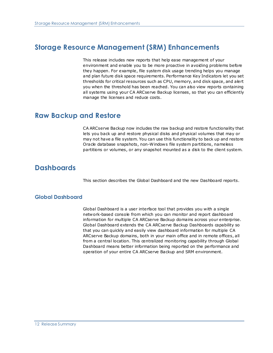### <span id="page-11-0"></span>**Storage Resource Management (SRM) Enhancements**

This release includes new reports that help ease management of your environment and enable you to be more proactive in avoiding problems before they happen. For example, file system disk usage trending helps you manage and plan future disk space requirements. Performance Key Indicators let you set thresholds for critical resources such as CPU, memory, and disk space, and alert you when the threshold has been reached. You can also view reports containing all systems using your CA ARCserve Backup licenses, so that you can efficiently manage the licenses and reduce costs.

### <span id="page-11-1"></span>**Raw Backup and Restore**

CA ARCserve Backup now includes the raw backup and restore functionality that lets you back up and restore physical disks and physical volumes that may or may not have a file system. You can use this functionality to back up and restore Oracle database snapshots, non-Windows file system partitions, nameless partitions or volumes, or any snapshot mounted as a disk to the client system.

### <span id="page-11-2"></span>**Dashboards**

This section describes the Global Dashboard and the new Dashboard reports.

#### **Global Dashboard**

Global Dashboard is a user interface tool that provides you with a single network-based console from which you can monitor and report dashboard information for multiple CA ARCserve Backup domains across your enterprise. Global Dashboard extends the CA ARCserve Backup Dashboards capability so that you can quickly and easily view dashboard information for multiple CA ARCserve Backup domains, both in your main office and in remote offices, all from a central location. This centralized monitoring capability through Global Dashboard means better information being reported on the performance and operation of your entire CA ARCserve Backup and SRM environment.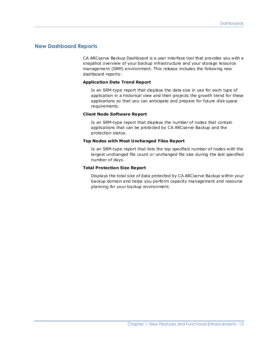#### **New Dashboard Reports**

CA ARCserve Backup Dashboard is a user interface tool that provides you with a snapshot overview of your backup infrastructure and your storage resource management (SRM) environment. This release includes the following new dashboard reports:

#### **Application Data Trend Report**

Is an SRM-type report that displays the data size in use for each type of application in a historical view and then projects the growth trend for these applications so that you can anticipate and prepare for future disk space requirements.

#### **Client Node Software Report**

Is an SRM-type report that displays the number of nodes that contain applications that can be protected by CA ARCserve Backup and the protection status.

#### **Top Nodes with Most Unchanged Files Report**

Is an SRM-type report that lists the top specified number of nodes with the largest unchanged file count or unchanged file size during the last specified number of days.

#### **Total Protection Size Report**

Displays the total size of data protected by CA ARCserve Backup within your backup domain and helps you perform capacity management and resource planning for your backup environment.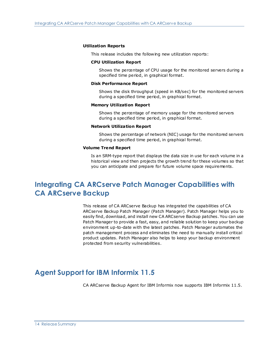#### **Utilization Reports**

This release includes the following new utilization reports:

#### **CPU Utilization Report**

Shows the percentage of CPU usage for the monitored servers during a specified time period, in graphical format.

#### **Disk Performance Report**

Shows the disk throughput (speed in KB/sec) for the monitored servers during a specified time period, in graphical format.

#### **Memory Utilization Report**

Shows the percentage of memory usage for the monitored servers during a specified time period, in graphical format.

#### **Network Utilization Report**

Shows the percentage of network (NIC) usage for the monitored servers during a specified time period, in graphical format.

#### **Volume Trend Report**

Is an SRM-type report that displays the data size in use for each volume in a historical view and then projects the growth trend for these volumes so that you can anticipate and prepare for future volume space requirements.

### <span id="page-13-0"></span>**Integrating CA ARCserve Patch Manager Capabilities with CA ARCserve Backup**

This release of CA ARCserve Backup has integrated the capabilities of CA ARCserve Backup Patch Manager (Patch Manager). Patch Manager helps you to easily find, download, and install new CA ARCserve Backup patches. You can use Patch Manager to provide a fast, easy, and reliable solution to keep your backup environment up-to-date with the latest patches. Patch Manager automates the patch management process and eliminates the need to manually install critical product updates. Patch Manager also helps to keep your backup environment protected from security vulnerabilities.

### <span id="page-13-1"></span>**Agent Support for IBM Informix 11.5**

CA ARCserve Backup Agent for IBM Informix now supports IBM Informix 11.5.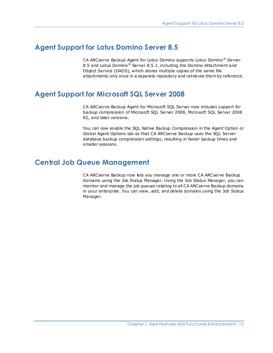### <span id="page-14-0"></span>**Agent Support for Lotus Domino Server 8.5**

CA ARCserve Backup Agent for Lotus Domino supports Lotus Domino® Server 8.5 and Lotus Domino® Server 8.5.1, including the Domino Attachment and Object Service (DAOS), which stores multiple copies of the same file attachments only once in a separate repository and retrieves them by reference.

### <span id="page-14-1"></span>**Agent Support for Microsoft SQL Server 2008**

CA ARCserve Backup Agent for Microsoft SQL Server now includes support for backup compression of Microsoft SQL Server 2008, Microsoft SQL Server 2008 R2, and later versions.

You can now enable the SQL Native Backup Compression in the Agent Option or Global Agent Options tab so that CA ARCserve Backup uses the SQL Server database backup compression settings, resulting in faster backup times and smaller sessions.

### <span id="page-14-2"></span>**Central Job Queue Management**

CA ARCserve Backup now lets you manage one or more CA ARCserve Backup domains using the Job Status Manager. Using the Job Status Manager, you can monitor and manage the job queues relating to all CA ARCserve Backup domains in your enterprise. You can view , add, and delete domains using the Job Status Manager.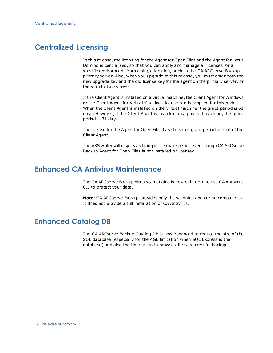### <span id="page-15-0"></span>**Centralized Licensing**

In this release, the licensing for the Agent for Open Files and the Agent for Lotus Domino is centralized, so that you can apply and manage all licenses for a specific environment from a single location, such as the CA ARCserve Backup primary server. Also, when you upgrade to this release, you must enter both the new upgrade key and the old license key for the agent on the primary server, or the stand-alone server.

If the Client Agent is installed on a virtual machine, the Client Agent for Windows or the Client Agent for Virtual Machines license can be applied for this node. When the Client Agent is installed on the virtual machine, the grace period is 61 days. However, if the Client Agent is installed on a physical machine, the grace period is 31 days.

The license for the Agent for Open Files has the same grace period as that of the Client Agent.

The VSS writer will display as being in the grace period even though CA ARCserve Backup Agent for Open Files is not installed or licensed.

### <span id="page-15-1"></span>**Enhanced CA Antivirus Maintenance**

The CA ARCserve Backup virus scan engine is now enhanced to use CA Antivirus 8.1 to protect your data.

**Note:** CA ARCserve Backup provides only the scanning and curing components. It does not provide a full installation of CA Antivirus.

### <span id="page-15-2"></span>**Enhanced Catalog DB**

The CA ARCserve Backup Catalog DB is now enhanced to reduce the size of the SQL database (especially for the 4GB limitation when SQL Express is the database) and also the time taken to browse after a successful backup.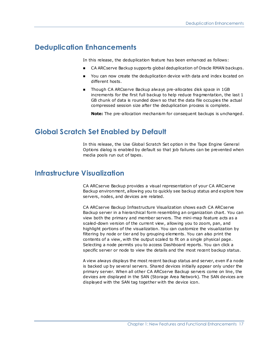### <span id="page-16-0"></span>**Deduplication Enhancements**

In this release, the deduplication feature has been enhanced as follows:

- CA ARCserve Backup supports global deduplication of Oracle RMAN backups.
- You can now create the deduplication device with data and index located on different hosts.
- Though CA ARCserve Backup always pre-allocates disk space in 1GB increments for the first full backup to help reduce fragmentation, the last 1 GB chunk of data is rounded down so that the data file occupies the actual compressed session size after the deduplication process is complete.

**Note:** The pre-allocation mechanism for consequent backups is unchanged.

### <span id="page-16-1"></span>**Global Scratch Set Enabled by Default**

In this release, the Use Global Scratch Set option in the Tape Engine General Options dialog is enabled by default so that job failures can be prevented when media pools run out of tapes.

### <span id="page-16-2"></span>**Infrastructure Visualization**

CA ARCserve Backup provides a visual representation of your CA ARCserve Backup environment, allowing you to quickly see backup status and explore how servers, nodes, and devices are related.

CA ARCserve Backup Infrastructure Visualization shows each CA ARCserve Backup server in a hierarchical form resembling an organization chart. You can view both the primary and member servers. The mini-map feature acts as a scaled-down version of the current view , allowing you to zoom, pan, and highlight portions of the visualization. You can customize the visualization by filtering by node or tier and by grouping elements. You can also print the contents of a view , with the output scaled to fit on a single physical page. Selecting a node permits you to access Dashboard reports. You can click a specific server or node to view the details and the most recent backup status.

A view always displays the most recent backup status and server, even if a node is backed up by several servers. Shared devices initially appear only under the primary server. When all other CA ARCserve Backup servers come on line, the devices are displayed in the SAN (Storage Area Network). The SAN devices are displayed with the SAN tag together with the device icon.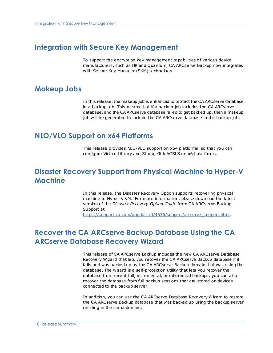### <span id="page-17-0"></span>**Integration with Secure Key Management**

To support the encryption key management capabilities of various device manufacturers, such as HP and Quantum, CA ARCserve Backup now integrates with Secure Key Manager (SKM) technology.

#### <span id="page-17-1"></span>**Makeup Jobs**

In this release, the makeup job is enhanced to protect the CA ARCserve database in a backup job. This means that if a backup job includes the CA ARCserve database, and the CA ARCserve database failed to get backed up, then a makeup job will be generated to include the CA ARCserve database in the backup job.

### <span id="page-17-2"></span>**NLO/VLO Support on x64 Platforms**

This release provides NLO/VLO support on x64 platforms, so that you can configure Virtual Library and StorageTek ACSLS on x64 platforms.

### <span id="page-17-3"></span>**Disaster Recovery Support from Physical Machine to Hyper-V Machine**

In this release, the Disaster Recovery Option supports recovering physical machine to Hyper-V VM. For more information, please download the latest version of the *Disaster Recovery Option Guide* from CA ARCserve Backup Support at

[https://support.ca.com/phpdocs/0/4536/support/arcserve\\_support.html.](https://support.ca.com/phpdocs/0/4536/support/arcserve_support.html)

### <span id="page-17-4"></span>**Recover the CA ARCserve Backup Database Using the CA ARCserve Database Recovery Wizard**

This release of CA ARCserve Backup includes the new CA ARCserve Database Recovery Wizard that lets you recover the CA ARCserve Backup database if it fails and was backed up by the CA ARCserve Backup domain that was using the database. The wizard is a self-protection utility that lets you recover the database from recent full, incremental, or differential backups; you can also recover the database from full backup sessions that are stored on devices connected to the backup server.

In addition, you can use the CA ARCserve Database Recovery Wizard to restore the CA ARCserve Backup database that was backed up using the backup server residing in the same domain.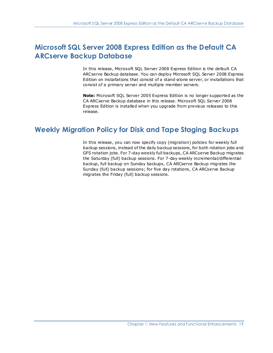### <span id="page-18-0"></span>**Microsoft SQL Server 2008 Express Edition as the Default CA ARCserve Backup Database**

In this release, Microsoft SQL Server 2008 Express Edition is the default CA ARCserve Backup database. You can deploy Microsoft SQL Server 2008 Express Edition on installations that consist of a stand-alone server, or installations that consist of a primary server and multiple member servers.

**Note:** Microsoft SQL Server 2005 Express Edition is no longer supported as the CA ARCserve Backup database in this release. Microsoft SQL Server 2008 Express Edition is installed when you upgrade from previous releases to this release.

### <span id="page-18-1"></span>**Weekly Migration Policy for Disk and Tape Staging Backups**

In this release, you can now specify copy (migration) policies for weekly full backup sessions, instead of the daily backup sessions, for both rotation jobs and GFS rotation jobs. For 7-day weekly full backups, CA ARCserve Backup migrates the Saturday (full) backup sessions. For 7-day weekly incremental/differential backup, full backup on Sunday backups, CA ARCserve Backup migrates the Sunday (full) backup sessions; for five day rotations, CA ARCserve Backup migrates the Friday (full) backup sessions.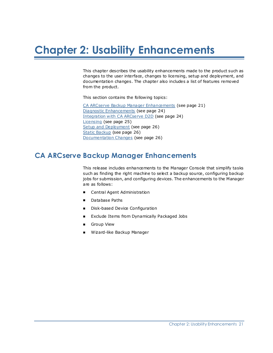## **Chapter 2: Usability Enhancements**

This chapter describes the usability enhancements made to the product such as changes to the user interface, changes to licensing, setup and deployment, and documentation changes. The chapter also includes a list of features removed from the product.

This section contains the following topics:

[CA ARCserve Backup Manager Enhancements](#page-20-0) (see page [21\)](#page-20-0) [Diagnostic Enhancements](#page-23-0) (see page [24\)](#page-23-0) [Integration with CA ARCserve D2D](#page-23-1) (see pag[e 24\)](#page-23-1) [Licensing](#page-24-0) (see page [25\)](#page-24-0) [Setup and Deployment](#page-25-0) (see page [26\)](#page-25-0) [Static Backup](#page-25-1) (see page [26\)](#page-25-1) [Documentation Changes](#page-25-2) (see page [26\)](#page-25-2)

### <span id="page-20-0"></span>**CA ARCserve Backup Manager Enhancements**

This release includes enhancements to the Manager Console that simplify tasks such as finding the right machine to select a backup source, configuring backup jobs for submission, and configuring devices. The enhancements to the Manager are as follows:

- Central Agent Administration
- Database Paths
- Disk-based Device Configuration
- Exclude Items from Dynamically Packaged Jobs
- Group View
- Wizard-like Backup Manager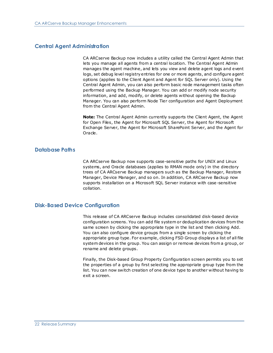#### **Central Agent Administration**

CA ARCserve Backup now includes a utility called the Central Agent Admin that lets you manage all agents from a central location. The Central Agent Admin manages the agent machine, and lets you view and delete agent logs and event logs, set debug level registry entries for one or more agents, and configure agent options (applies to the Client Agent and Agent for SQL Server only). Using the Central Agent Admin, you can also perform basic node management tasks often performed using the Backup Manager. You can add or modify node security information, and add, modify, or delete agents without opening the Backup Manager. You can also perform Node Tier configuration and Agent Deployment from the Central Agent Admin.

**Note:** The Central Agent Admin currently supports the Client Agent, the Agent for Open Files, the Agent for Microsoft SQL Server, the Agent for Microsoft Exchange Server, the Agent for Microsoft SharePoint Server, and the Agent for Oracle.

#### **Database Paths**

CA ARCserve Backup now supports case-sensitive paths for UNIX and Linux systems, and Oracle databases (applies to RMAN mode only) in the directory trees of CA ARCserve Backup managers such as the Backup Manager, Restore Manager, Device Manager, and so on. In addition, CA ARCserve Backup now supports installation on a Microsoft SQL Server instance with case-sensitive collation.

#### **Disk-Based Device Configuration**

This release of CA ARCserve Backup includes consolidated disk-based device configuration screens. You can add file system or deduplication devices from the same screen by clicking the appropriate type in the list and then clicking Add. You can also configure device groups from a single screen by clicking the appropriate group type. For example, clicking FSD Group displays a list of all file system devices in the group. You can assign or remove devices from a group, or rename and delete groups.

Finally, the Disk-based Group Property Configuration screen permits you to set the properties of a group by first selecting the appropriate group type from the list. You can now switch creation of one device type to another without having to exit a screen.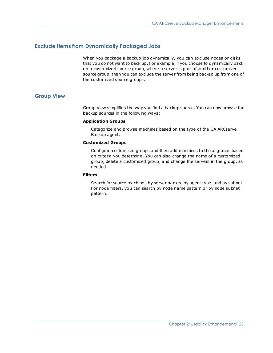#### **Exclude Items from Dynamically Packaged Jobs**

When you package a backup job dynamically, you can exclude nodes or disks that you do not want to back up. For example, if you choose to dynamically back up a customized source group, where a server is part of another customized source group, then you can exclude the server from being backed up from one of the customized source groups.

#### **Group View**

Group View simplifies the way you find a backup source. You can now browse for backup sources in the following ways:

#### **Application Groups**

Categorize and browse machines based on the type of the CA ARCserve Backup agent.

#### **Customized Groups**

Configure customized groups and then add machines to those groups based on criteria you determine. You can also change the name of a customized group, delete a customized group, and change the servers in the group, as needed.

#### **Filters**

Search for source machines by server names, by agent type, and by subnet. For node filters, you can search by node name pattern or by node subnet pattern.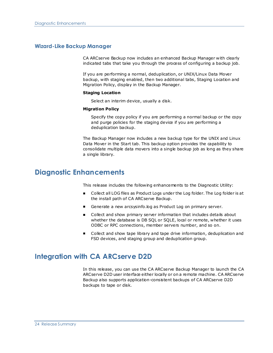#### **Wizard-Like Backup Manager**

CA ARCserve Backup now includes an enhanced Backup Manager with clearly indicated tabs that take you through the process of configuring a backup job.

If you are performing a normal, deduplication, or UNIX/Linux Data Mover backup, with staging enabled, then two additional tabs, Staging Location and Migration Policy, display in the Backup Manager.

#### **Staging Location**

Select an interim device, usually a disk.

#### **Migration Policy**

Specify the copy policy if you are performing a normal backup or the copy and purge policies for the staging device if you are performing a deduplication backup.

The Backup Manager now includes a new backup type for the UNIX and Linux Data Mover in the Start tab. This backup option provides the capability to consolidate multiple data movers into a single backup job as long as they share a single library.

### <span id="page-23-0"></span>**Diagnostic Enhancements**

This release includes the following enhancements to the Diagnostic Utility:

- Collect all LOG files as Product Logs under the Log folder. The Log folder is at the install path of CA ARCserve Backup.
- Generate a new arcsysinfo.log as Product Log on primary server.
- Collect and show primary server information that includes details about whether the database is DB SQL or SQLE, local or remote, whether it uses ODBC or RPC connections, member servers number, and so on.
- Collect and show tape library and tape drive information, deduplication and FSD devices, and staging group and deduplication group.

### <span id="page-23-1"></span>**Integration with CA ARCserve D2D**

In this release, you can use the CA ARCserve Backup Manager to launch the CA ARCserve D2D user interface either locally or on a remote machine. CA ARCserve Backup also supports application-consistent backups of CA ARCserve D2D backups to tape or disk.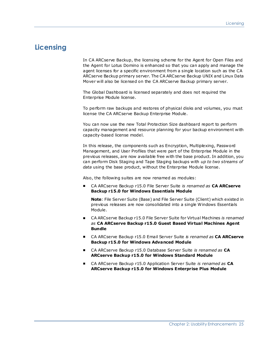### <span id="page-24-0"></span>**Licensing**

In CA ARCserve Backup, the licensing scheme for the Agent for Open Files and the Agent for Lotus Domino is enhanced so that you can apply and manage the agent licenses for a specific environment from a single location such as the CA ARCserve Backup primary server. The CA ARCserve Backup UNIX and Linux Data Mover will also be licensed on the CA ARCserve Backup primary server.

The Global Dashboard is licensed separately and does not required the Enterprise Module license.

To perform raw backups and restores of physical disks and volumes, you must license the CA ARCserve Backup Enterprise Module.

You can now use the new Total Protection Size dashboard report to perform capacity management and resource planning for your backup environment with capacity-based license model.

In this release, the components such as Encryption, Multiplexing, Password Management, and User Profiles that were part of the Enterprise Module in the previous releases, are now available free with the base product. In addition, you can perform Disk Staging and Tape Staging backups with *up to two streams of data* using the base product, without the Enterprise Module license.

Also, the following suites are now renamed as modules:

■ CA ARCserve Backup r15.0 File Server Suite *is renamed as* **CA ARCserve Backup r15.0 for Windows Essentials Module**

**Note**: File Server Suite (Base) and File Server Suite (Client) which existed in previous releases are now consolidated into a single Windows Essentials Module.

- CA ARCserve Backup r15.0 File Server Suite for Virtual Machines *is renamed as* **CA ARCserve Backup r15.0 Guest Based Virtual Machines Agent Bundle**
- CA ARCserve Backup r15.0 Email Server Suite *is renamed as* CA ARCserve **Backup r15.0 for Windows Advanced Module**
- CA ARCserve Backup r15.0 Database Server Suite *is renamed as* **CA ARCserve Backup r15.0 for Windows Standard Module**
- CA ARCserve Backup r15.0 Application Server Suite *is renamed as* **CA ARCserve Backup r15.0 for Windows Enterprise Plus Module**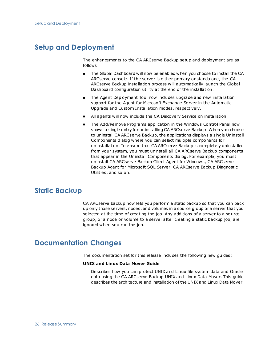### <span id="page-25-0"></span>**Setup and Deployment**

The enhancements to the CA ARCserve Backup setup and deployment are as follows:

- The Global Dashboard will now be enabled when you choose to install the CA ARCserve console. If the server is either primary or standalone, the CA ARCserve Backup installation process will automatically launch the Global Dashboard configuration utility at the end of the installation.
- The Agent Deployment Tool now includes upgrade and new installation support for the Agent for Microsoft Exchange Server in the Automatic Upgrade and Custom Installation modes, respectively.
- All agents will now include the CA Discovery Service on installation.
- The Add/Remove Programs application in the Windows Control Panel now shows a single entry for uninstalling CA ARCserve Backup. When you choose to uninstall CA ARCserve Backup, the applications displays a single Uninstall Components dialog where you can select multiple components for uninstallation. To ensure that CA ARCserve Backup is completely uninstalled from your system, you must uninstall all CA ARCserve Backup components that appear in the Uninstall Components dialog. For example, you must uninstall CA ARCserve Backup Client Agent for Windows, CA ARCserve Backup Agent for Microsoft SQL Server, CA ARCserve Backup Diagnostic Utilities, and so on.

### <span id="page-25-1"></span>**Static Backup**

CA ARCserve Backup now lets you perform a static backup so that you can back up only those servers, nodes, and volumes in a source group or a server that you selected at the time of creating the job. Any additions of a server to a source group, or a node or volume to a server after creating a static backup job, are ignored when you run the job.

### <span id="page-25-2"></span>**Documentation Changes**

The documentation set for this release includes the following new guides:

#### **UNIX and Linux Data Mover Guide**

Describes how you can protect UNIX and Linux file system data and Oracle data using the CA ARCserve Backup UNIX and Linux Data Mover. This guide describes the architecture and installation of the UNIX and Linux Data Mover.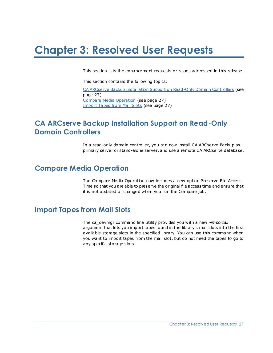## **Chapter 3: Resolved User Requests**

This section lists the enhancement requests or issues addressed in this release.

This section contains the following topics:

[CA ARCserve Backup Installation Support on Read-Only Domain Controllers](#page-26-0) (see page [27\)](#page-26-0) [Compare Media Operation](#page-26-1) (see page [27\)](#page-26-1) [Import Tapes from Mail Slots](#page-26-2) (see page [27\)](#page-26-2)

### <span id="page-26-0"></span>**CA ARCserve Backup Installation Support on Read-Only Domain Controllers**

In a read-only domain controller, you can now install CA ARCserve Backup as primary server or stand-alone server, and use a remote CA ARCserve database.

### <span id="page-26-1"></span>**Compare Media Operation**

The Compare Media Operation now includes a new option Preserve File Access Time so that you are able to preserve the original file access time and ensure that it is not updated or changed when you run the Compare job.

### <span id="page-26-2"></span>**Import Tapes from Mail Slots**

The ca\_devmgr command line utility provides you with a new *-importall* argument that lets you import tapes found in the library's mail slots into the first available storage slots in the specified library. You can use this command when you want to import tapes from the mail slot, but do not need the tapes to go to any specific storage slots.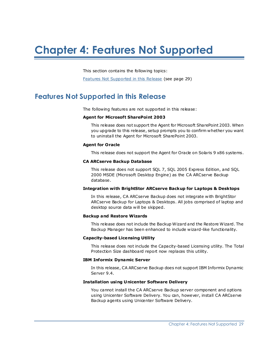## **Chapter 4: Features Not Supported**

This section contains the following topics:

[Features Not Supported in this Release](#page-28-0) (see page [29\)](#page-28-0)

### <span id="page-28-0"></span>**Features Not Supported in this Release**

The following features are not supported in this release:

#### **Agent for Microsoft SharePoint 2003**

This release does not support the Agent for Microsoft SharePoint 2003. When you upgrade to this release, setup prompts you to confirm whether you want to uninstall the Agent for Microsoft SharePoint 2003.

#### **Agent for Oracle**

This release does not support the Agent for Oracle on Solaris 9 x86 systems.

#### **CA ARCserve Backup Database**

This release does not support SQL 7, SQL 2005 Express Edition, and SQL 2000 MSDE (Microsoft Desktop Engine) as the CA ARCserve Backup database.

#### **Integration with BrightStor ARCserve Backup for Laptops & Desktops**

In this release, CA ARCserve Backup does not integrate with BrightStor ARCserve Backup for Laptops & Desktops. All jobs comprised of laptop and desktop source data will be skipped.

#### **Backup and Restore Wizards**

This release does not include the Backup Wizard and the Restore Wizard. The Backup Manager has been enhanced to include wizard-like functionality.

#### **Capacity-based Licensing Utility**

This release does not include the Capacity-based Licensing utility. The Total Protection Size dashboard report now replaces this utility.

#### **IBM Informix Dynamic Server**

In this release, CA ARCserve Backup does not support IBM Informix Dynamic Server 9.4.

#### **Installation using Unicenter Software Delivery**

You cannot install the CA ARCserve Backup server component and options using Unicenter Software Delivery. You can, however, install CA ARCserve Backup agents using Unicenter Software Delivery.